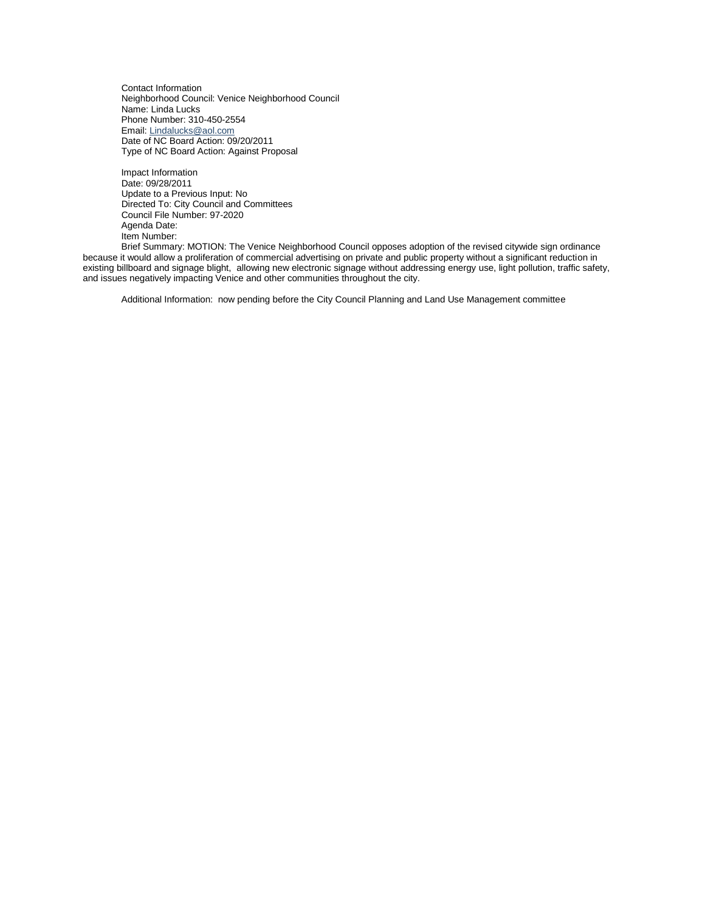Contact Information Neighborhood Council: Venice Neighborhood Council Name: Linda Lucks Phone Number: 310-450-2554 Email: [Lindalucks@aol.com](mailto:Lindalucks@aol.com) Date of NC Board Action: 09/20/2011 Type of NC Board Action: Against Proposal

Impact Information Date: 09/28/2011 Update to a Previous Input: No Directed To: City Council and Committees Council File Number: 97-2020 Agenda Date: Item Number:

Brief Summary: MOTION: The Venice Neighborhood Council opposes adoption of the revised citywide sign ordinance because it would allow a proliferation of commercial advertising on private and public property without a significant reduction in existing billboard and signage blight, allowing new electronic signage without addressing energy use, light pollution, traffic safety, and issues negatively impacting Venice and other communities throughout the city.

Additional Information: now pending before the City Council Planning and Land Use Management committee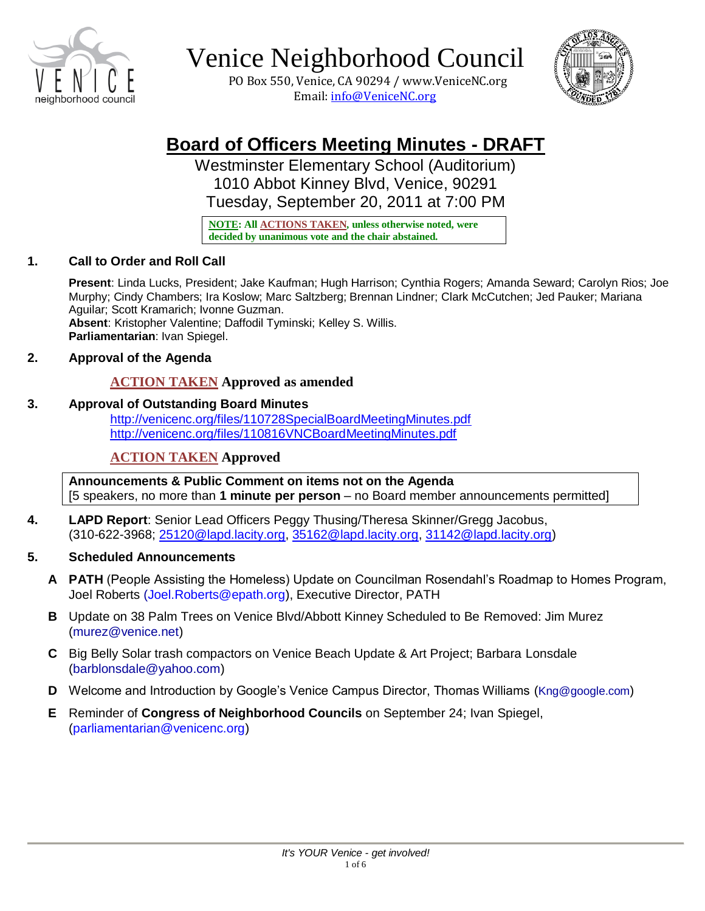

 PO Box 550, Venice, CA 90294 / www.VeniceNC.org Email: info@VeniceNC.org



# **Board of Officers Meeting Minutes - DRAFT**

Westminster Elementary School (Auditorium) 1010 Abbot Kinney Blvd, Venice, 90291 Tuesday, September 20, 2011 at 7:00 PM

**NOTE: All ACTIONS TAKEN, unless otherwise noted, were decided by unanimous vote and the chair abstained.** 

### **1. Call to Order and Roll Call**

**Present**: Linda Lucks, President; Jake Kaufman; Hugh Harrison; Cynthia Rogers; Amanda Seward; Carolyn Rios; Joe Murphy; Cindy Chambers; Ira Koslow; Marc Saltzberg; Brennan Lindner; Clark McCutchen; Jed Pauker; Mariana Aguilar; Scott Kramarich; Ivonne Guzman. **Absent**: Kristopher Valentine; Daffodil Tyminski; Kelley S. Willis. **Parliamentarian**: Ivan Spiegel.

### **2. Approval of the Agenda**

### **ACTION TAKEN Approved as amended**

### **3. Approval of Outstanding Board Minutes**

<http://venicenc.org/files/110728SpecialBoardMeetingMinutes.pdf> <http://venicenc.org/files/110816VNCBoardMeetingMinutes.pdf>

### **ACTION TAKEN Approved**

**Announcements & Public Comment on items not on the Agenda** [5 speakers, no more than **1 minute per person** – no Board member announcements permitted]

**4. LAPD Report**: Senior Lead Officers Peggy Thusing/Theresa Skinner/Gregg Jacobus, (310-622-3968; [25120@lapd.lacity.org,](mailto:25120@lapd.lacity.org) [35162@lapd.lacity.org,](mailto:35162@lapd.lacity.org) [31142@lapd.lacity.org\)](mailto:31142@lapd.lacity.org)

### **5. Scheduled Announcements**

- **A PATH** (People Assisting the Homeless) Update on Councilman Rosendahl's Roadmap to Homes Program, Joel Roberts (Joel.Roberts@epath.org), Executive Director, PATH
- **B** Update on 38 Palm Trees on Venice Blvd/Abbott Kinney Scheduled to Be Removed: Jim Murez (murez@venice.net)
- **C** Big Belly Solar trash compactors on Venice Beach Update & Art Project; Barbara Lonsdale (barblonsdale@yahoo.com)
- **D** Welcome and Introduction by Google's Venice Campus Director, Thomas Williams (Kng@google.com)
- **E** Reminder of **Congress of Neighborhood Councils** on September 24; Ivan Spiegel, (parliamentarian@venicenc.org)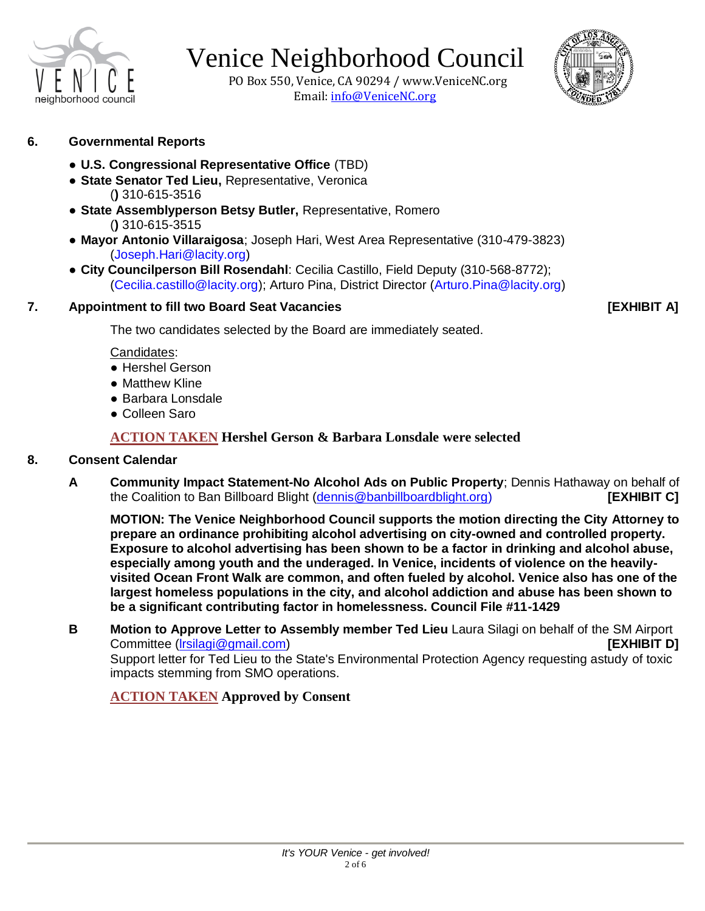

 PO Box 550, Venice, CA 90294 / www.VeniceNC.org Email: info@VeniceNC.org



- **6. Governmental Reports** 
	- **U.S. Congressional Representative Office** (TBD)
	- **State Senator Ted Lieu,** Representative, Veronica (**)** 310-615-3516
	- **State Assemblyperson Betsy Butler,** Representative, Romero (**)** 310-615-3515
	- **Mayor Antonio Villaraigosa**; Joseph Hari, West Area Representative (310-479-3823) (Joseph.Hari@lacity.org)
	- **City Councilperson Bill Rosendahl**: Cecilia Castillo, Field Deputy (310-568-8772); (Cecilia.castillo@lacity.org); Arturo Pina, District Director (Arturo.Pina@lacity.org)

#### **7. Appointment to fill two Board Seat Vacancies [EXHIBIT A]**

The two candidates selected by the Board are immediately seated.

#### Candidates:

- Hershel Gerson
- Matthew Kline
- Barbara Lonsdale
- Colleen Saro

**ACTION TAKEN Hershel Gerson & Barbara Lonsdale were selected**

#### **8. Consent Calendar**

**A Community Impact Statement-No Alcohol Ads on Public Property**; Dennis Hathaway on behalf of the Coalition to Ban Billboard Blight [\(dennis@banbillboardblight.org\)](mailto:dennis@banbillboardblight.org) **[EXHIBIT C]**

**MOTION: The Venice Neighborhood Council supports the motion directing the City Attorney to prepare an ordinance prohibiting alcohol advertising on city-owned and controlled property. Exposure to alcohol advertising has been shown to be a factor in drinking and alcohol abuse, especially among youth and the underaged. In Venice, incidents of violence on the heavilyvisited Ocean Front Walk are common, and often fueled by alcohol. Venice also has one of the largest homeless populations in the city, and alcohol addiction and abuse has been shown to be a significant contributing factor in homelessness. Council File #11-1429**

**B Motion to Approve Letter to Assembly member Ted Lieu** Laura Silagi on behalf of the SM Airport Committee [\(lrsilagi@gmail.com\)](mailto:lrsilagi@gmail.com) **[EXHIBIT D]** Support letter for Ted Lieu to the State's Environmental Protection Agency requesting astudy of toxic impacts stemming from SMO operations.

### **ACTION TAKEN Approved by Consent**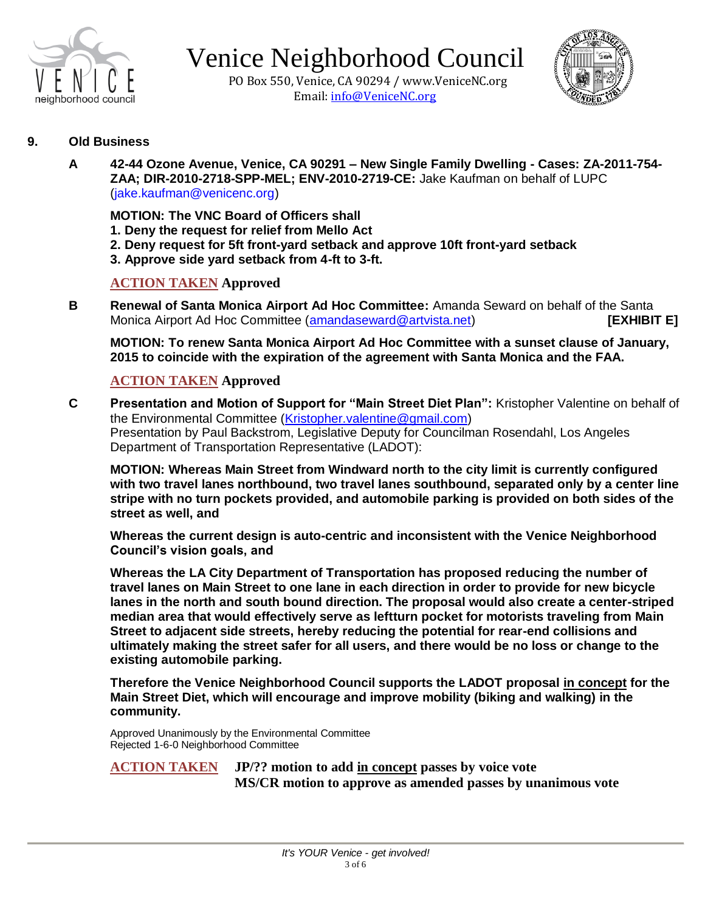

 PO Box 550, Venice, CA 90294 / www.VeniceNC.org Email: info@VeniceNC.org



#### **9. Old Business**

**A 42-44 Ozone Avenue, Venice, CA 90291 – New Single Family Dwelling - Cases: ZA-2011-754- ZAA; DIR-2010-2718-SPP-MEL; ENV-2010-2719-CE:** Jake Kaufman on behalf of LUPC (jake.kaufman@venicenc.org)

**MOTION: The VNC Board of Officers shall**

- **1. Deny the request for relief from Mello Act**
- **2. Deny request for 5ft front-yard setback and approve 10ft front-yard setback**
- **3. Approve side yard setback from 4-ft to 3-ft.**

#### **ACTION TAKEN Approved**

**B** Renewal of Santa Monica Airport Ad Hoc Committee: Amanda Seward on behalf of the Santa Monica Airport Ad Hoc Committee [\(amandaseward@artvista.net\)](mailto:amandaseward@artvista.net) **[EXHIBIT E]**

**MOTION: To renew Santa Monica Airport Ad Hoc Committee with a sunset clause of January, 2015 to coincide with the expiration of the agreement with Santa Monica and the FAA.**

#### **ACTION TAKEN Approved**

**C Presentation and Motion of Support for "Main Street Diet Plan":** Kristopher Valentine on behalf of the Environmental Committee [\(Kristopher.valentine@gmail.com\)](mailto:Kristopher.valentine@gmail.com) Presentation by Paul Backstrom, Legislative Deputy for Councilman Rosendahl, Los Angeles Department of Transportation Representative (LADOT):

**MOTION: Whereas Main Street from Windward north to the city limit is currently configured with two travel lanes northbound, two travel lanes southbound, separated only by a center line stripe with no turn pockets provided, and automobile parking is provided on both sides of the street as well, and**

**Whereas the current design is auto-centric and inconsistent with the Venice Neighborhood Council's vision goals, and**

**Whereas the LA City Department of Transportation has proposed reducing the number of travel lanes on Main Street to one lane in each direction in order to provide for new bicycle lanes in the north and south bound direction. The proposal would also create a center-striped median area that would effectively serve as leftturn pocket for motorists traveling from Main Street to adjacent side streets, hereby reducing the potential for rear-end collisions and ultimately making the street safer for all users, and there would be no loss or change to the existing automobile parking.**

**Therefore the Venice Neighborhood Council supports the LADOT proposal in concept for the Main Street Diet, which will encourage and improve mobility (biking and walking) in the community.**

Approved Unanimously by the Environmental Committee Rejected 1-6-0 Neighborhood Committee

**ACTION TAKEN JP/?? motion to add in concept passes by voice vote MS/CR motion to approve as amended passes by unanimous vote**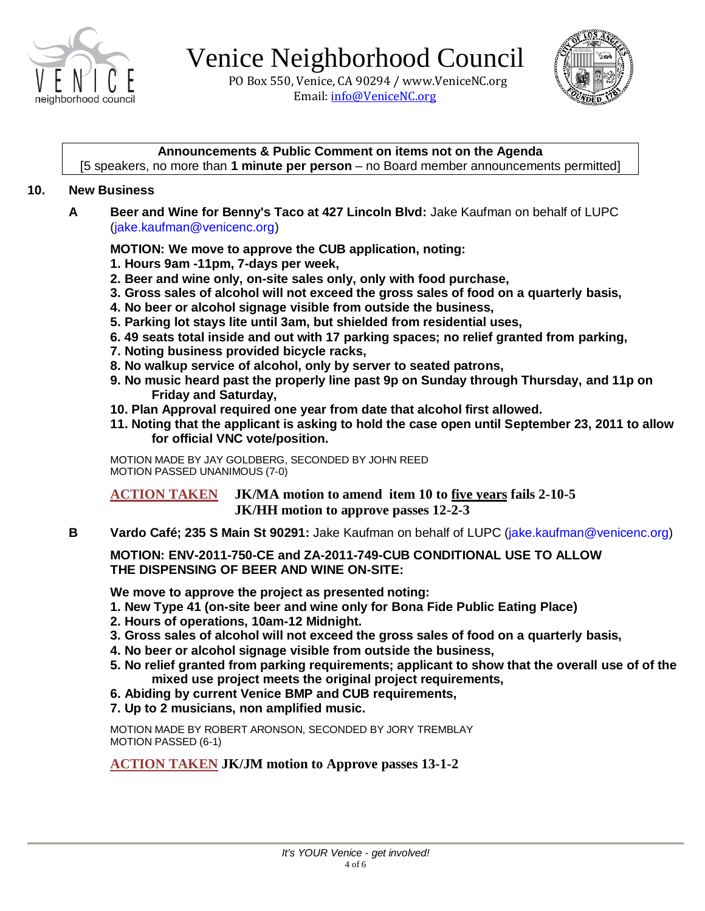

 PO Box 550, Venice, CA 90294 / www.VeniceNC.org Email: info@VeniceNC.org



#### **Announcements & Public Comment on items not on the Agenda**

[5 speakers, no more than **1 minute per person** – no Board member announcements permitted]

#### **10. New Business**

**A Beer and Wine for Benny's Taco at 427 Lincoln Blvd:** Jake Kaufman on behalf of LUPC (jake.kaufman@venicenc.org)

**MOTION: We move to approve the CUB application, noting:**

- **1. Hours 9am -11pm, 7-days per week,**
- **2. Beer and wine only, on-site sales only, only with food purchase,**
- **3. Gross sales of alcohol will not exceed the gross sales of food on a quarterly basis,**
- **4. No beer or alcohol signage visible from outside the business,**
- **5. Parking lot stays lite until 3am, but shielded from residential uses,**
- **6. 49 seats total inside and out with 17 parking spaces; no relief granted from parking,**
- **7. Noting business provided bicycle racks,**
- **8. No walkup service of alcohol, only by server to seated patrons,**
- **9. No music heard past the properly line past 9p on Sunday through Thursday, and 11p on Friday and Saturday,**
- **10. Plan Approval required one year from date that alcohol first allowed.**
- **11. Noting that the applicant is asking to hold the case open until September 23, 2011 to allow for official VNC vote/position.**

MOTION MADE BY JAY GOLDBERG, SECONDED BY JOHN REED MOTION PASSED UNANIMOUS (7-0)

**ACTION TAKEN JK/MA motion to amend item 10 to five years fails 2-10-5 JK/HH motion to approve passes 12-2-3** 

**B Vardo Café; 235 S Main St 90291:** Jake Kaufman on behalf of LUPC (jake.kaufman@venicenc.org)

**MOTION: ENV-2011-750-CE and ZA-2011-749-CUB CONDITIONAL USE TO ALLOW THE DISPENSING OF BEER AND WINE ON-SITE:**

**We move to approve the project as presented noting:**

- **1. New Type 41 (on-site beer and wine only for Bona Fide Public Eating Place)**
- **2. Hours of operations, 10am-12 Midnight.**
- **3. Gross sales of alcohol will not exceed the gross sales of food on a quarterly basis,**
- **4. No beer or alcohol signage visible from outside the business,**
- **5. No relief granted from parking requirements; applicant to show that the overall use of of the mixed use project meets the original project requirements,**
- **6. Abiding by current Venice BMP and CUB requirements,**
- **7. Up to 2 musicians, non amplified music.**

MOTION MADE BY ROBERT ARONSON, SECONDED BY JORY TREMBLAY MOTION PASSED (6-1)

**ACTION TAKEN JK/JM motion to Approve passes 13-1-2**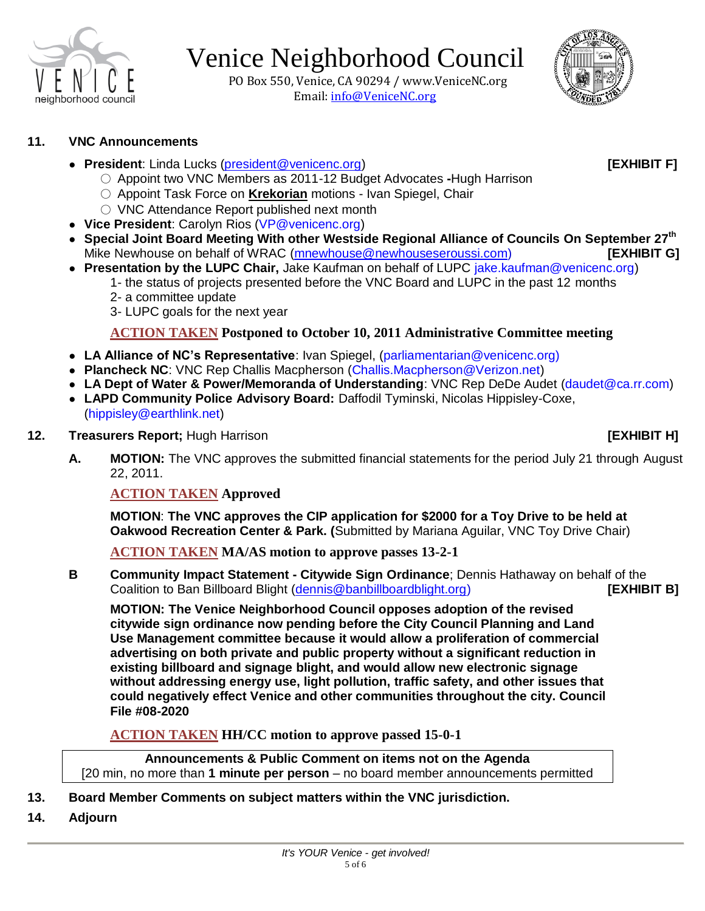

 PO Box 550, Venice, CA 90294 / www.VeniceNC.org Email: info@VeniceNC.org



#### **11. VNC Announcements**

● **President**: Linda Lucks [\(president@venicenc.org\)](mailto:president@venicenc.org) **[EXHIBIT F]**

- Appoint two VNC Members as 2011-12 Budget Advocates **-**Hugh Harrison
- Appoint Task Force on **Krekorian** motions Ivan Spiegel, Chair
- VNC Attendance Report published next month
- **Vice President**: Carolyn Rios (VP@venicenc.org)
- **Special Joint Board Meeting With other Westside Regional Alliance of Councils On September 27th** Mike Newhouse on behalf of WRAC [\(mnewhouse@newhouseseroussi.com\)](mailto:mnewhouse@newhouseseroussi.com) **[EXHIBIT G]**
- **Presentation by the LUPC Chair,** Jake Kaufman on behalf of LUPC jake.kaufman@venicenc.org)
	- 1- the status of projects presented before the VNC Board and LUPC in the past 12 months
	- 2- a committee update
	- 3- LUPC goals for the next year

### **ACTION TAKEN Postponed to October 10, 2011 Administrative Committee meeting**

- **LA Alliance of NC's Representative**: Ivan Spiegel, (parliamentarian@venicenc.org)
- **Plancheck NC**: VNC Rep Challis Macpherson (Challis.Macpherson@Verizon.net)
- **LA Dept of Water & Power/Memoranda of Understanding**: VNC Rep DeDe Audet (daudet@ca.rr.com)
- **LAPD Community Police Advisory Board:** Daffodil Tyminski, Nicolas Hippisley-Coxe, (hippisley@earthlink.net)

#### **12. Treasurers Report;** Hugh Harrison **[EXHIBIT H]**

**A. MOTION:** The VNC approves the submitted financial statements for the period July 21 through August 22, 2011.

**ACTION TAKEN Approved** 

**MOTION**: **The VNC approves the CIP application for \$2000 for a Toy Drive to be held at Oakwood Recreation Center & Park. (**Submitted by Mariana Aguilar, VNC Toy Drive Chair)

**ACTION TAKEN MA/AS motion to approve passes 13-2-1**

**B Community Impact Statement - Citywide Sign Ordinance**; Dennis Hathaway on behalf of the Coalition to Ban Billboard Blight [\(dennis@banbillboardblight.org\)](mailto:dennis@banbillboardblight.org) **[EXHIBIT B]**

**MOTION: The Venice Neighborhood Council opposes adoption of the revised citywide sign ordinance now pending before the City Council Planning and Land Use Management committee because it would allow a proliferation of commercial advertising on both private and public property without a significant reduction in existing billboard and signage blight, and would allow new electronic signage without addressing energy use, light pollution, traffic safety, and other issues that could negatively effect Venice and other communities throughout the city. Council File #08-2020**

**ACTION TAKEN HH/CC motion to approve passed 15-0-1** 

**Announcements & Public Comment on items not on the Agenda** [20 min, no more than **1 minute per person** – no board member announcements permitted

- **13. Board Member Comments on subject matters within the VNC jurisdiction.**
- **14. Adjourn**